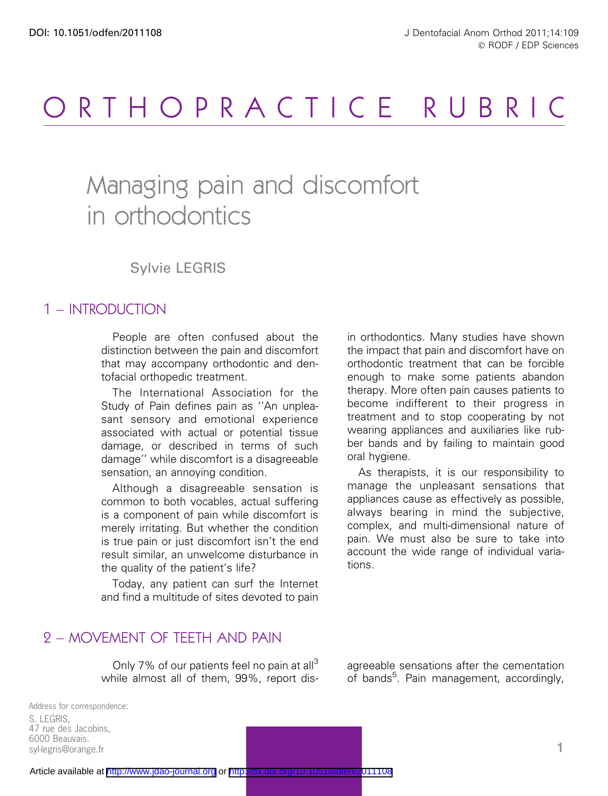# ORTHOPRACTICE RUBRI

## Managing pain and discomfort in orthodontics

## Sylvie LEGRIS

## 1 – INTRODI ICTION

People are often confused about the distinction between the pain and discomfort that may accompany orthodontic and dentofacial orthopedic treatment.

The International Association for the Study of Pain defines pain as ''An unpleasant sensory and emotional experience associated with actual or potential tissue damage, or described in terms of such damage'' while discomfort is a disagreeable sensation, an annoying condition.

Although a disagreeable sensation is common to both vocables, actual suffering is a component of pain while discomfort is merely irritating. But whether the condition is true pain or just discomfort isn't the end result similar, an unwelcome disturbance in the quality of the patient's life?

Today, any patient can surf the Internet and find a multitude of sites devoted to pain

in orthodontics. Many studies have shown the impact that pain and discomfort have on orthodontic treatment that can be forcible enough to make some patients abandon therapy. More often pain causes patients to become indifferent to their progress in treatment and to stop cooperating by not wearing appliances and auxiliaries like rubber bands and by failing to maintain good oral hygiene.

As therapists, it is our responsibility to manage the unpleasant sensations that appliances cause as effectively as possible, always bearing in mind the subjective, complex, and multi-dimensional nature of pain. We must also be sure to take into account the wide range of individual variations.

## 2 – MOVEMENT OF TEETH AND PAIN

Only 7% of our patients feel no pain at all<sup>3</sup> while almost all of them, 99%, report disagreeable sensations after the cementation of bands<sup>5</sup>. Pain management, accordingly,

Address for correspondence: S. LEGRIS, 47 rue des Jacobins, 6000 Beauvais. syl-legris@orange.fr

Article available at <http://www.jdao-journal.org> or <http://dx.doi.org/10.1051/odfen/2011108>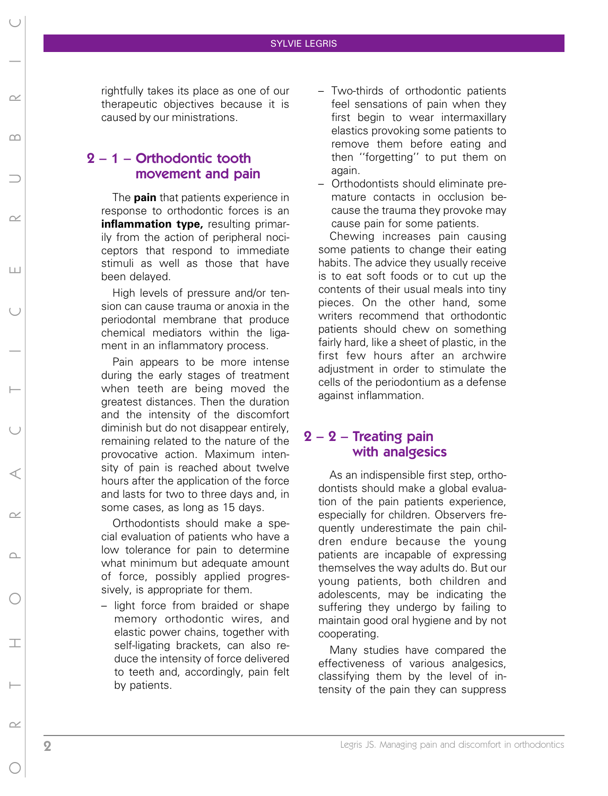rightfully takes its place as one of our therapeutic objectives because it is caused by our ministrations.

## 2 – 1 – Orthodontic tooth movement and pain

The **pain** that patients experience in response to orthodontic forces is an inflammation type, resulting primarily from the action of peripheral nociceptors that respond to immediate stimuli as well as those that have been delayed.

High levels of pressure and/or tension can cause trauma or anoxia in the periodontal membrane that produce chemical mediators within the ligament in an inflammatory process.

Pain appears to be more intense during the early stages of treatment when teeth are being moved the greatest distances. Then the duration and the intensity of the discomfort diminish but do not disappear entirely, remaining related to the nature of the provocative action. Maximum intensity of pain is reached about twelve hours after the application of the force and lasts for two to three days and, in some cases, as long as 15 days.

Orthodontists should make a special evaluation of patients who have a low tolerance for pain to determine what minimum but adequate amount of force, possibly applied progressively, is appropriate for them.

– light force from braided or shape memory orthodontic wires, and elastic power chains, together with self-ligating brackets, can also reduce the intensity of force delivered to teeth and, accordingly, pain felt by patients.

- Two-thirds of orthodontic patients feel sensations of pain when they first begin to wear intermaxillary elastics provoking some patients to remove them before eating and then ''forgetting'' to put them on again.
- Orthodontists should eliminate premature contacts in occlusion because the trauma they provoke may cause pain for some patients.

Chewing increases pain causing some patients to change their eating habits. The advice they usually receive is to eat soft foods or to cut up the contents of their usual meals into tiny pieces. On the other hand, some writers recommend that orthodontic patients should chew on something fairly hard, like a sheet of plastic, in the first few hours after an archwire adjustment in order to stimulate the cells of the periodontium as a defense against inflammation.

## 2 – 2 – Treating pain with analgesics

As an indispensible first step, orthodontists should make a global evaluation of the pain patients experience, especially for children. Observers frequently underestimate the pain children endure because the young patients are incapable of expressing themselves the way adults do. But our young patients, both children and adolescents, may be indicating the suffering they undergo by failing to maintain good oral hygiene and by not cooperating.

Many studies have compared the effectiveness of various analgesics, classifying them by the level of intensity of the pain they can suppress

ORTHOPRACHICE RUBRICH

 $\sim$ 

 $\cap$ 

 $\top$ 

 $\sim$ 

 $\sim$ 

 $\cap$ 

 $\sim$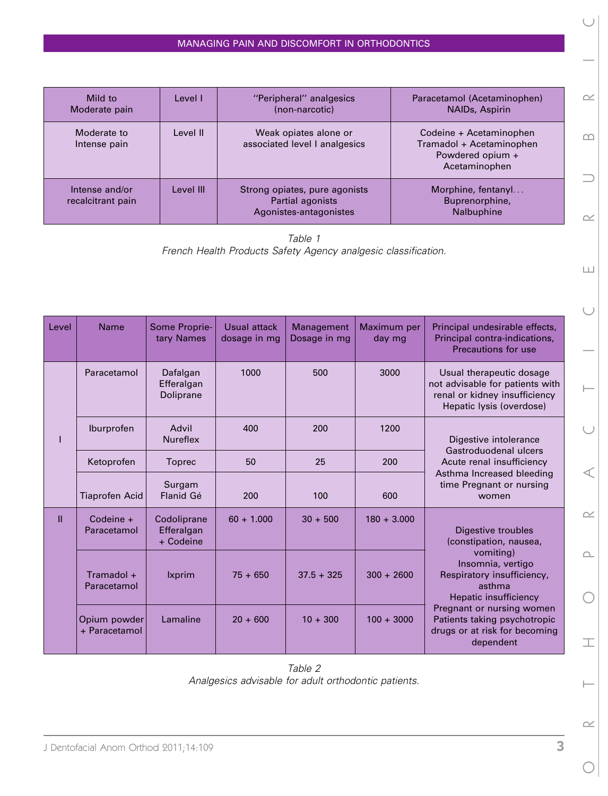| Mild to<br>Moderate pain            | Level I   | "Peripheral" analgesics<br>(non-narcotic)                                   | Paracetamol (Acetaminophen)<br>NAIDs, Aspirin                                            |  |
|-------------------------------------|-----------|-----------------------------------------------------------------------------|------------------------------------------------------------------------------------------|--|
| Moderate to<br>Intense pain         | Level II  | Weak opiates alone or<br>associated level I analgesics                      | Codeine + Acetaminophen<br>Tramadol + Acetaminophen<br>Powdered opium +<br>Acetaminophen |  |
| Intense and/or<br>recalcitrant pain | Level III | Strong opiates, pure agonists<br>Partial agonists<br>Agonistes-antagonistes | Morphine, fentanyl<br>Buprenorphine,<br>Nalbuphine                                       |  |

Table 1 French Health Products Safety Agency analgesic classification.

| Level | <b>Name</b>                   | Some Proprie-<br>tary Names            | Usual attack<br>dosage in mg | Management<br>Dosage in mg | Maximum per<br>day mg | Principal undesirable effects,<br>Principal contra-indications,<br>Precautions for use                                                                                                                                                                     |
|-------|-------------------------------|----------------------------------------|------------------------------|----------------------------|-----------------------|------------------------------------------------------------------------------------------------------------------------------------------------------------------------------------------------------------------------------------------------------------|
|       | Paracetamol                   | Dafalgan<br>Efferalgan<br>Doliprane    | 1000                         | 500                        | 3000                  | Usual therapeutic dosage<br>not advisable for patients with<br>renal or kidney insufficiency<br>Hepatic lysis (overdose)                                                                                                                                   |
|       | Iburprofen                    | Advil<br><b>Nureflex</b>               | 400                          | 200                        | 1200                  | Digestive intolerance<br>Gastroduodenal ulcers<br>Acute renal insufficiency<br>Asthma Increased bleeding<br>time Pregnant or nursing<br>women                                                                                                              |
|       | Ketoprofen                    | <b>Toprec</b>                          | 50                           | 25                         | 200                   |                                                                                                                                                                                                                                                            |
|       | Tiaprofen Acid                | Surgam<br>Flanid Gé                    | 200                          | 100                        | 600                   |                                                                                                                                                                                                                                                            |
| Ш     | $Codeine +$<br>Paracetamol    | Codoliprane<br>Efferalgan<br>+ Codeine | $60 + 1.000$                 | $30 + 500$                 | $180 + 3.000$         | Digestive troubles<br>(constipation, nausea,<br>vomiting)<br>Insomnia, vertigo<br>Respiratory insufficiency,<br>asthma<br>Hepatic insufficiency<br>Pregnant or nursing women<br>Patients taking psychotropic<br>drugs or at risk for becoming<br>dependent |
|       | Tramadol +<br>Paracetamol     | <b>Ixprim</b>                          | $75 + 650$                   | $37.5 + 325$               | $300 + 2600$          |                                                                                                                                                                                                                                                            |
|       | Opium powder<br>+ Paracetamol | Lamaline                               | $20 + 600$                   | $10 + 300$                 | $100 + 3000$          |                                                                                                                                                                                                                                                            |

Table 2 Analgesics advisable for adult orthodontic patients.

ORTHOPRACTICE RUBRIC

 $\simeq$ 

 $\infty$ 

 $\simeq$ 

 $\sqcup$ 

イ

 $\simeq$ 

 $\triangle$ 

H

 $\simeq$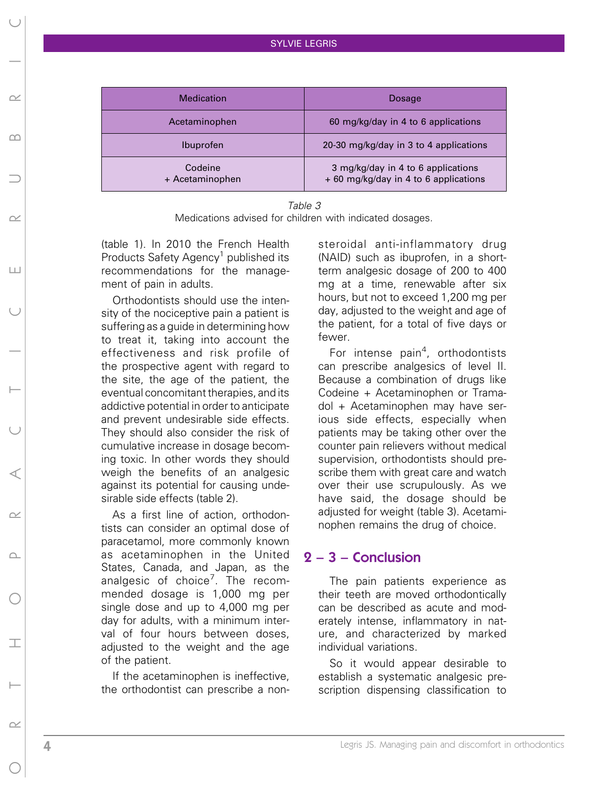| <b>Medication</b>          | <b>Dosage</b>                                                               |  |  |  |
|----------------------------|-----------------------------------------------------------------------------|--|--|--|
| Acetaminophen              | 60 mg/kg/day in 4 to 6 applications                                         |  |  |  |
| <b>Ibuprofen</b>           | 20-30 mg/kg/day in 3 to 4 applications                                      |  |  |  |
| Codeine<br>+ Acetaminophen | 3 mg/kg/day in 4 to 6 applications<br>+ 60 mg/kg/day in 4 to 6 applications |  |  |  |

Table 3

Medications advised for children with indicated dosages.

(table 1). In 2010 the French Health Products Safety Agency<sup>1</sup> published its recommendations for the management of pain in adults.

Orthodontists should use the intensity of the nociceptive pain a patient is suffering as a guide in determining how to treat it, taking into account the effectiveness and risk profile of the prospective agent with regard to the site, the age of the patient, the eventual concomitant therapies, and its addictive potential in order to anticipate and prevent undesirable side effects. They should also consider the risk of cumulative increase in dosage becoming toxic. In other words they should weigh the benefits of an analgesic against its potential for causing undesirable side effects (table 2).

As a first line of action, orthodontists can consider an optimal dose of paracetamol, more commonly known as acetaminophen in the United States, Canada, and Japan, as the analgesic of choice<sup>7</sup>. The recommended dosage is 1,000 mg per single dose and up to 4,000 mg per day for adults, with a minimum interval of four hours between doses, adjusted to the weight and the age of the patient.

If the acetaminophen is ineffective, the orthodontist can prescribe a nonsteroidal anti-inflammatory drug (NAID) such as ibuprofen, in a shortterm analgesic dosage of 200 to 400 mg at a time, renewable after six hours, but not to exceed 1,200 mg per day, adjusted to the weight and age of the patient, for a total of five days or fewer.

For intense pain<sup>4</sup>, orthodontists can prescribe analgesics of level II. Because a combination of drugs like Codeine + Acetaminophen or Tramadol + Acetaminophen may have serious side effects, especially when patients may be taking other over the counter pain relievers without medical supervision, orthodontists should prescribe them with great care and watch over their use scrupulously. As we have said, the dosage should be adjusted for weight (table 3). Acetaminophen remains the drug of choice.

#### 2 – 3 – Conclusion

The pain patients experience as their teeth are moved orthodontically can be described as acute and moderately intense, inflammatory in nature, and characterized by marked individual variations.

So it would appear desirable to establish a systematic analgesic prescription dispensing classification to

ORTHOPRACHICE RUBRICH

 $\sim$ 

 $\cap$ 

 $\top$ 

 $\sim$ 

 $\sim$ 

 $\infty$ 

 $\sim$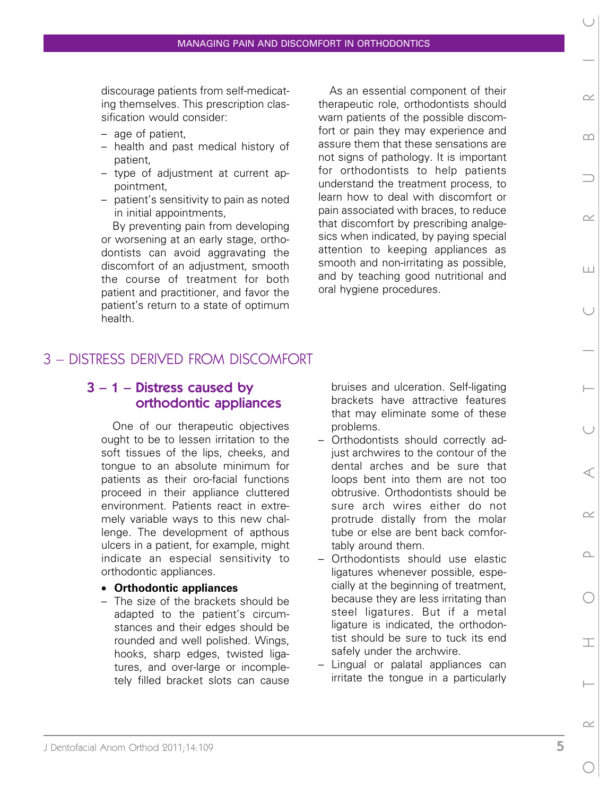discourage patients from self-medicating themselves. This prescription classification would consider:

- age of patient,
- health and past medical history of patient,
- type of adjustment at current appointment,
- patient's sensitivity to pain as noted in initial appointments,

By preventing pain from developing or worsening at an early stage, orthodontists can avoid aggravating the discomfort of an adjustment, smooth the course of treatment for both patient and practitioner, and favor the patient's return to a state of optimum health.

As an essential component of their therapeutic role, orthodontists should warn patients of the possible discomfort or pain they may experience and assure them that these sensations are not signs of pathology. It is important for orthodontists to help patients understand the treatment process, to learn how to deal with discomfort or pain associated with braces, to reduce that discomfort by prescribing analgesics when indicated, by paying special attention to keeping appliances as smooth and non-irritating as possible, and by teaching good nutritional and oral hygiene procedures.

## 3 – DISTRESS DERIVED FROM DISCOMFORT

## 3 – 1 – Distress caused by orthodontic appliances

One of our therapeutic objectives ought to be to lessen irritation to the soft tissues of the lips, cheeks, and tongue to an absolute minimum for patients as their oro-facial functions proceed in their appliance cluttered environment. Patients react in extremely variable ways to this new challenge. The development of apthous ulcers in a patient, for example, might indicate an especial sensitivity to orthodontic appliances.

#### • Orthodontic appliances

– The size of the brackets should be adapted to the patient's circumstances and their edges should be rounded and well polished. Wings, hooks, sharp edges, twisted ligatures, and over-large or incompletely filled bracket slots can cause bruises and ulceration. Self-ligating brackets have attractive features that may eliminate some of these problems.

- Orthodontists should correctly adjust archwires to the contour of the dental arches and be sure that loops bent into them are not too obtrusive. Orthodontists should be sure arch wires either do not protrude distally from the molar tube or else are bent back comfortably around them.
- Orthodontists should use elastic ligatures whenever possible, especially at the beginning of treatment, because they are less irritating than steel ligatures. But if a metal ligature is indicated, the orthodontist should be sure to tuck its end safely under the archwire.
- Lingual or palatal appliances can irritate the tongue in a particularly

ORTHOPRACTICE RUBRIC

 $\sim$ 

 $\triangle$ 

т

 $\simeq$ 

 $\sim$ 

 $\cap$ 

 $\sim$ 

Ш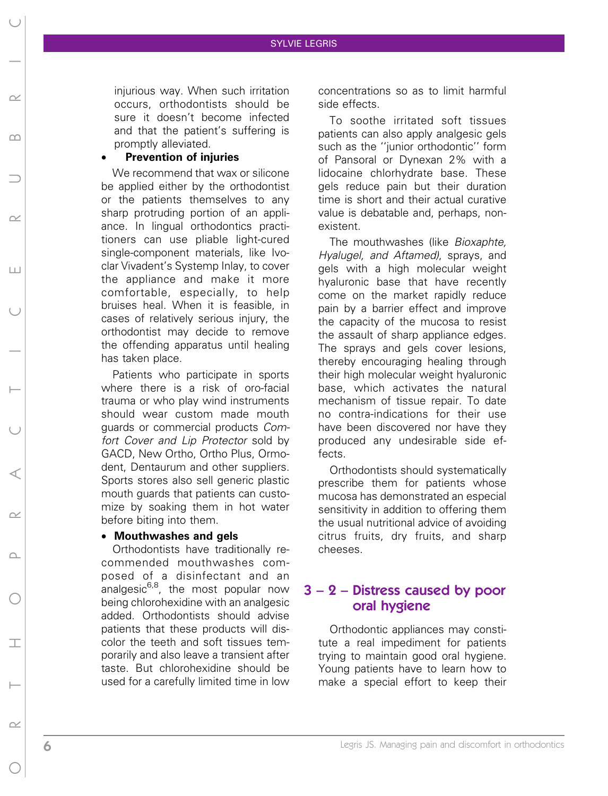SYLVIE LEGRIS

injurious way. When such irritation occurs, orthodontists should be sure it doesn't become infected and that the patient's suffering is promptly alleviated.

#### **Prevention of injuries**

We recommend that wax or silicone be applied either by the orthodontist or the patients themselves to any sharp protruding portion of an appliance. In lingual orthodontics practitioners can use pliable light-cured single-component materials, like Ivoclar Vivadent's Systemp Inlay, to cover the appliance and make it more comfortable, especially, to help bruises heal. When it is feasible, in cases of relatively serious injury, the orthodontist may decide to remove the offending apparatus until healing has taken place.

Patients who participate in sports where there is a risk of oro-facial trauma or who play wind instruments should wear custom made mouth guards or commercial products Comfort Cover and Lip Protector sold by GACD, New Ortho, Ortho Plus, Ormodent, Dentaurum and other suppliers. Sports stores also sell generic plastic mouth guards that patients can customize by soaking them in hot water before biting into them.

#### • Mouthwashes and gels

Orthodontists have traditionally recommended mouthwashes composed of a disinfectant and an analgesic $6,8$ , the most popular now being chlorohexidine with an analgesic added. Orthodontists should advise patients that these products will discolor the teeth and soft tissues temporarily and also leave a transient after taste. But chlorohexidine should be used for a carefully limited time in low

concentrations so as to limit harmful side effects.

To soothe irritated soft tissues patients can also apply analgesic gels such as the ''junior orthodontic'' form of Pansoral or Dynexan 2% with a lidocaine chlorhydrate base. These gels reduce pain but their duration time is short and their actual curative value is debatable and, perhaps, nonexistent.

The mouthwashes (like Bioxaphte, Hyalugel, and Aftamed), sprays, and gels with a high molecular weight hyaluronic base that have recently come on the market rapidly reduce pain by a barrier effect and improve the capacity of the mucosa to resist the assault of sharp appliance edges. The sprays and gels cover lesions, thereby encouraging healing through their high molecular weight hyaluronic base, which activates the natural mechanism of tissue repair. To date no contra-indications for their use have been discovered nor have they produced any undesirable side effects.

Orthodontists should systematically prescribe them for patients whose mucosa has demonstrated an especial sensitivity in addition to offering them the usual nutritional advice of avoiding citrus fruits, dry fruits, and sharp cheeses.

## 3 – 2 – Distress caused by poor oral hygiene

Orthodontic appliances may constitute a real impediment for patients trying to maintain good oral hygiene. Young patients have to learn how to make a special effort to keep their

ORTHOPRACHICE RUBRICH

 $\sim$ 

 $\cap$ 

T

 $\sim$ 

 $\sim$ 

 $\cap$ 

 $\sim$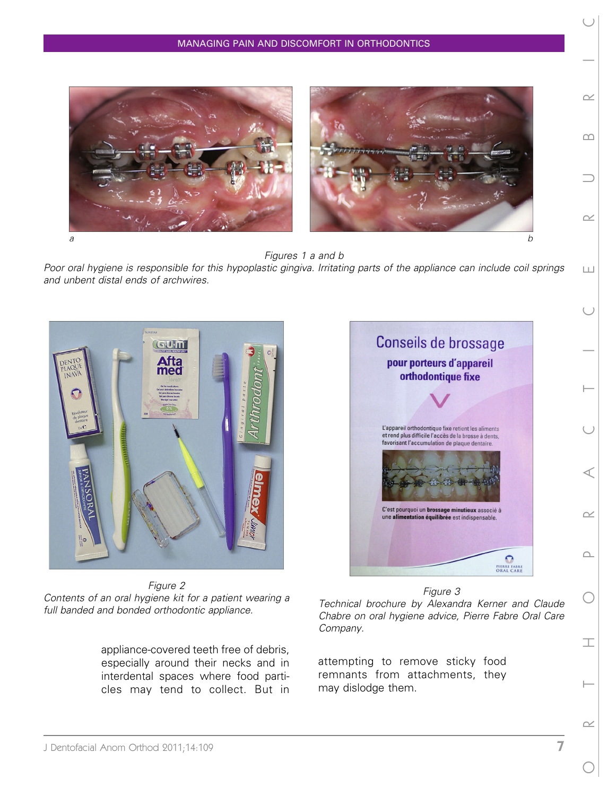

Figures 1 a and b Poor oral hygiene is responsible for this hypoplastic gingiva. Irritating parts of the appliance can include coil springs and unbent distal ends of archwires.



Figure 2 Contents of an oral hygiene kit for a patient wearing a full banded and bonded orthodontic appliance.

appliance-covered teeth free of debris, especially around their necks and in interdental spaces where food particles may tend to collect. But in



Figure 3

Technical brochure by Alexandra Kerner and Claude Chabre on oral hygiene advice, Pierre Fabre Oral Care Company.

attempting to remove sticky food remnants from attachments, they may dislodge them.

ORTHOPRACTICE RUBRIC

 $\simeq$ 

 $\triangle$ 

I

 $\simeq$ 

 $\simeq$ 

 $\infty$ 

 $\sim$ 

 $\sqcup$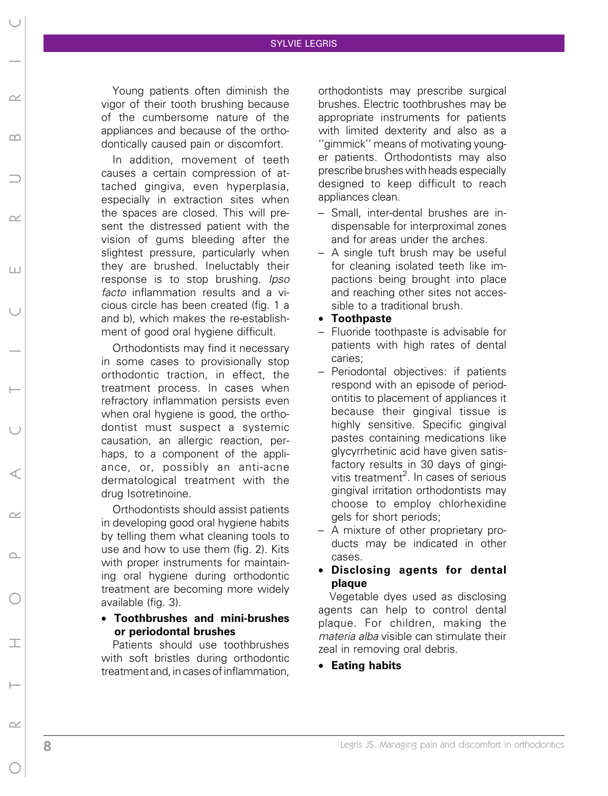Young patients often diminish the vigor of their tooth brushing because of the cumbersome nature of the appliances and because of the orthodontically caused pain or discomfort.

In addition, movement of teeth causes a certain compression of attached gingiva, even hyperplasia, especially in extraction sites when the spaces are closed. This will present the distressed patient with the vision of gums bleeding after the slightest pressure, particularly when they are brushed. Ineluctably their response is to stop brushing. *Ipso* facto inflammation results and a vicious circle has been created (fig. 1 a and b), which makes the re-establishment of good oral hygiene difficult.

Orthodontists may find it necessary in some cases to provisionally stop orthodontic traction, in effect, the treatment process. In cases when refractory inflammation persists even when oral hygiene is good, the orthodontist must suspect a systemic causation, an allergic reaction, perhaps, to a component of the appliance, or, possibly an anti-acne dermatological treatment with the drug Isotretinoine.

Orthodontists should assist patients in developing good oral hygiene habits by telling them what cleaning tools to use and how to use them (fig. 2). Kits with proper instruments for maintaining oral hygiene during orthodontic treatment are becoming more widely available (fig. 3).

#### • Toothbrushes and mini-brushes or periodontal brushes

Patients should use toothbrushes with soft bristles during orthodontic treatment and, in cases of inflammation,

orthodontists may prescribe surgical brushes. Electric toothbrushes may be appropriate instruments for patients with limited dexterity and also as a ''gimmick'' means of motivating younger patients. Orthodontists may also prescribe brushes with heads especially designed to keep difficult to reach appliances clean.

- Small, inter-dental brushes are indispensable for interproximal zones and for areas under the arches.
- A single tuft brush may be useful for cleaning isolated teeth like impactions being brought into place and reaching other sites not accessible to a traditional brush.
- Toothpaste
- Fluoride toothpaste is advisable for patients with high rates of dental caries;
- Periodontal objectives: if patients respond with an episode of periodontitis to placement of appliances it because their gingival tissue is highly sensitive. Specific gingival pastes containing medications like glycyrrhetinic acid have given satisfactory results in 30 days of gingivitis treatment<sup>2</sup>. In cases of serious gingival irritation orthodontists may choose to employ chlorhexidine gels for short periods;
- A mixture of other proprietary products may be indicated in other cases.

#### • Disclosing agents for dental plaque

Vegetable dyes used as disclosing agents can help to control dental plaque. For children, making the materia alba visible can stimulate their zeal in removing oral debris.

• Eating habits

ORTHOPRACHICE RUBRICH

 $\sim$ 

 $\cap$ 

T

 $\sim$ 

 $\sim$ 

 $\cap$ 

 $\sim$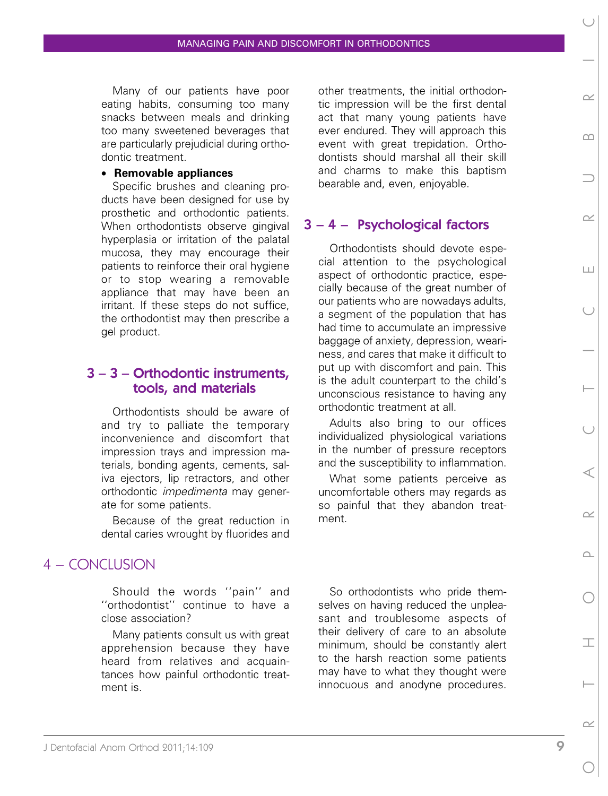Many of our patients have poor eating habits, consuming too many snacks between meals and drinking too many sweetened beverages that are particularly prejudicial during orthodontic treatment.

#### • Removable appliances

Specific brushes and cleaning products have been designed for use by prosthetic and orthodontic patients. When orthodontists observe gingival hyperplasia or irritation of the palatal mucosa, they may encourage their patients to reinforce their oral hygiene or to stop wearing a removable appliance that may have been an irritant. If these steps do not suffice, the orthodontist may then prescribe a gel product.

## 3 – 3 – Orthodontic instruments, tools, and materials

Orthodontists should be aware of and try to palliate the temporary inconvenience and discomfort that impression trays and impression materials, bonding agents, cements, saliva ejectors, lip retractors, and other orthodontic impedimenta may generate for some patients.

Because of the great reduction in dental caries wrought by fluorides and

## 4 – CONCLUSION

Should the words ''pain'' and ''orthodontist'' continue to have a close association?

Many patients consult us with great apprehension because they have heard from relatives and acquaintances how painful orthodontic treatment is.

other treatments, the initial orthodontic impression will be the first dental act that many young patients have ever endured. They will approach this event with great trepidation. Orthodontists should marshal all their skill and charms to make this baptism bearable and, even, enjoyable.

## 3 – 4 – Psychological factors

Orthodontists should devote especial attention to the psychological aspect of orthodontic practice, especially because of the great number of our patients who are nowadays adults, a segment of the population that has had time to accumulate an impressive baggage of anxiety, depression, weariness, and cares that make it difficult to put up with discomfort and pain. This is the adult counterpart to the child's unconscious resistance to having any orthodontic treatment at all.

Adults also bring to our offices individualized physiological variations in the number of pressure receptors and the susceptibility to inflammation.

What some patients perceive as uncomfortable others may regards as so painful that they abandon treatment.

So orthodontists who pride themselves on having reduced the unpleasant and troublesome aspects of their delivery of care to an absolute minimum, should be constantly alert to the harsh reaction some patients may have to what they thought were innocuous and anodyne procedures.

ORTHOPRACTICE RUBRIC

 $\sim$ 

 $\triangle$ 

т

 $\simeq$ 

 $\sim$ 

 $\cap$ 

 $\sim$ 

 $\sqcup$